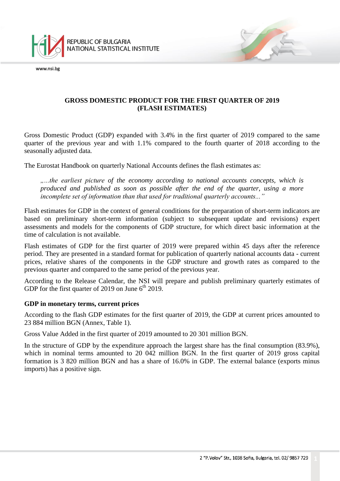

## **GROSS DOMESTIC PRODUCT FOR THE FIRST QUARTER OF 2019 (FLASH ESTIMATES)**

Gross Domestic Product (GDP) expanded with 3.4% in the first quarter of 2019 compared to the same quarter of the previous year and with 1.1% compared to the fourth quarter of 2018 according to the seasonally adjusted data*.*

The Eurostat Handbook on quarterly National Accounts defines the flash estimates as:

*"...the earliest picture of the economy according to national accounts concepts, which is produced and published as soon as possible after the end of the quarter, using a more incomplete set of information than that used for traditional quarterly accounts..."*

Flash estimates for GDP in the context of general conditions for the preparation of short-term indicators are based on preliminary short-term information (subject to subsequent update and revisions) expert assessments and models for the components of GDP structure, for which direct basic information at the time of calculation is not available.

Flash estimates of GDP for the first quarter of 2019 were prepared within 45 days after the reference period. They are presented in a standard format for publication of quarterly national accounts data - current prices, relative shares of the components in the GDP structure and growth rates as compared to the previous quarter and compared to the same period of the previous year.

According to the Release Calendar, the NSI will prepare and publish preliminary quarterly estimates of GDP for the first quarter of 2019 on June  $6<sup>th</sup>$  2019.

### **GDP in monetary terms, current prices**

According to the flash GDP estimates for the first quarter of 2019, the GDP at current prices amounted to 23 884 million BGN [\(Annex,](http://www.nsi.bg/otrasalen.php?otr=42&a1=2191&a2=2231&a3=2232#cont) Table 1).

Gross Value Added in the first quarter of 2019 amounted to 20 301 million BGN.

In the structure of GDP by the expenditure approach the largest share has the final consumption (83.9%), which in nominal terms amounted to 20 042 million BGN. In the first quarter of 2019 gross capital formation is 3 820 million BGN and has a share of 16.0% in GDP. The external balance (exports minus imports) has a positive sign.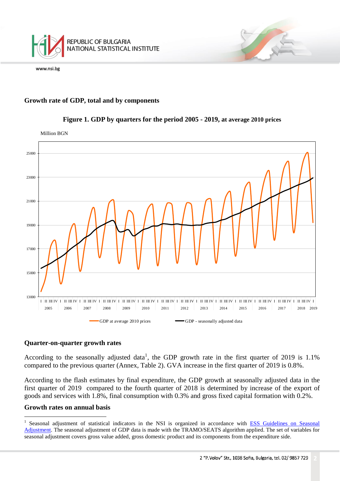

## **Growth rate of GDP, total and by components**



## **Figure 1. GDP by quarters for the period 2005 - 2019, at average 2010 prices**

#### **Quarter-on-quarter growth rates**

According to the seasonally adjusted data<sup>1</sup>, the GDP growth rate in the first quarter of 2019 is 1.1% compared to the previous quarter (Annex, Table 2). GVA increase in the first quarter of 2019 is 0.8%.

According to the flash estimates by final expenditure, the GDP growth at seasonally adjusted data in the first quarter of 2019 compared to the fourth quarter of 2018 is determined by increase of the export of goods and services with 1.8%, final consumption with 0.3% and gross fixed capital formation with 0.2%.

### **Growth rates on annual basis**

i<br>L

<sup>1</sup> Seasonal adjustment of statistical indicators in the NSI is organized in accordance with [ESS Guidelines on Seasonal](http://ec.europa.eu/eurostat/delegate/product?code=KS-RA-09-006)  [Adjustment.](http://ec.europa.eu/eurostat/delegate/product?code=KS-RA-09-006) The seasonal adjustment of GDP data is made with the TRAMO/SEATS algorithm applied. The set of variables for seasonal adjustment covers gross value added, gross domestic product and its components from the expenditure side.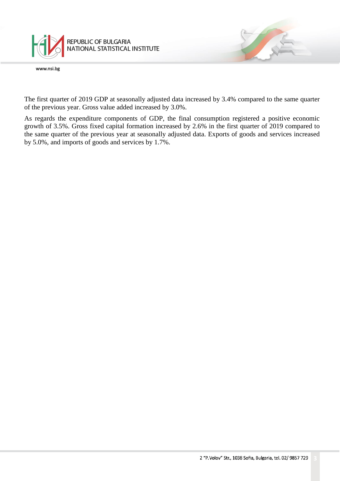

The first quarter of 2019 GDP at seasonally adjusted data increased by 3.4% compared to the same quarter of the previous year. Gross value added increased by 3.0%.

As regards the expenditure components of GDP, the final consumption registered a positive economic growth of 3.5%. Gross fixed capital formation increased by 2.6% in the first quarter of 2019 compared to the same quarter of the previous year at seasonally adjusted data. Exports of goods and services increased by 5.0%, and imports of goods and services by 1.7%.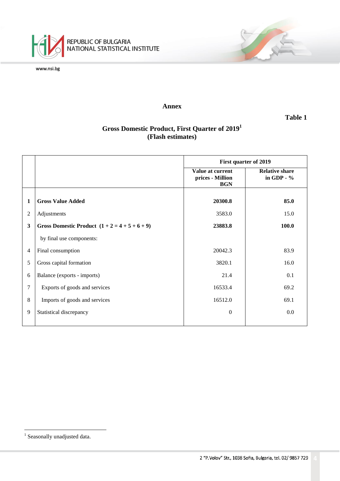

#### **Annex**

**Table 1**

T

# **Gross Domestic Product, First Quarter of 2019<sup>1</sup> (Flash estimates)**

|   |                                                  | <b>First quarter of 2019</b>                       |                                       |  |  |
|---|--------------------------------------------------|----------------------------------------------------|---------------------------------------|--|--|
|   |                                                  | Value at current<br>prices - Million<br><b>BGN</b> | <b>Relative share</b><br>in GDP - $%$ |  |  |
| 1 | <b>Gross Value Added</b>                         | 20300.8                                            | 85.0                                  |  |  |
| 2 | Adjustments                                      | 3583.0                                             | 15.0                                  |  |  |
| 3 | Gross Domestic Product $(1 + 2 = 4 + 5 + 6 + 9)$ | 23883.8                                            | 100.0                                 |  |  |
|   | by final use components:                         |                                                    |                                       |  |  |
| 4 | Final consumption                                | 20042.3                                            | 83.9                                  |  |  |
| 5 | Gross capital formation                          | 3820.1                                             | 16.0                                  |  |  |
| 6 | Balance (exports - imports)                      | 21.4                                               | 0.1                                   |  |  |
| 7 | Exports of goods and services                    | 16533.4                                            | 69.2                                  |  |  |
| 8 | Imports of goods and services                    | 16512.0                                            | 69.1                                  |  |  |
| 9 | Statistical discrepancy                          | $\mathbf{0}$                                       | 0.0                                   |  |  |

i<br>L

<sup>&</sup>lt;sup>1</sup> Seasonally unadjusted data.